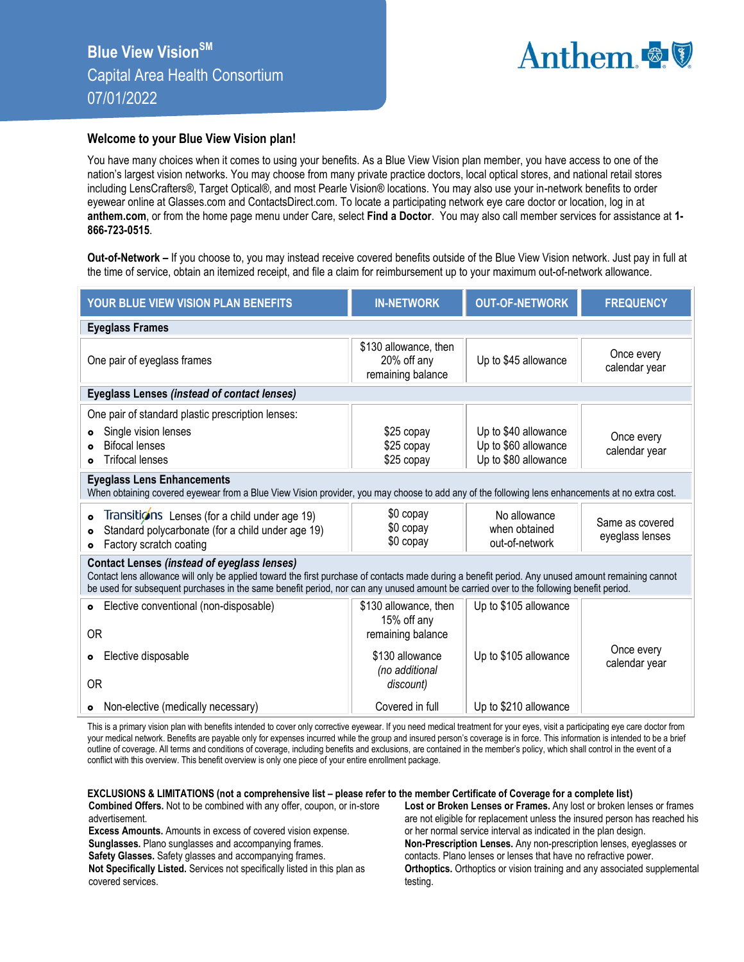

## **Welcome to your Blue View Vision plan!**

You have many choices when it comes to using your benefits. As a Blue View Vision plan member, you have access to one of the nation's largest vision networks. You may choose from many private practice doctors, local optical stores, and national retail stores including LensCrafters®, Target Optical®, and most Pearle Vision® locations. You may also use your in-network benefits to order eyewear online at Glasses.com and ContactsDirect.com. To locate a participating network eye care doctor or location, log in at **anthem.com**, or from the home page menu under Care, select **Find a Doctor**. You may also call member services for assistance at **1- 866-723-0515**.

**Out-of-Network –** If you choose to, you may instead receive covered benefits outside of the Blue View Vision network. Just pay in full at the time of service, obtain an itemized receipt, and file a claim for reimbursement up to your maximum out-of-network allowance.

| <b>YOUR BLUE VIEW VISION PLAN BENEFITS</b>                                                                                                                                                                                                                                                                                                          | <b>IN-NETWORK</b>                                         | <b>OUT-OF-NETWORK</b>                                                | <b>FREQUENCY</b>                   |  |
|-----------------------------------------------------------------------------------------------------------------------------------------------------------------------------------------------------------------------------------------------------------------------------------------------------------------------------------------------------|-----------------------------------------------------------|----------------------------------------------------------------------|------------------------------------|--|
| <b>Eyeglass Frames</b>                                                                                                                                                                                                                                                                                                                              |                                                           |                                                                      |                                    |  |
| One pair of eyeglass frames                                                                                                                                                                                                                                                                                                                         | \$130 allowance, then<br>20% off any<br>remaining balance | Up to \$45 allowance                                                 | Once every<br>calendar year        |  |
| Eyeglass Lenses (instead of contact lenses)                                                                                                                                                                                                                                                                                                         |                                                           |                                                                      |                                    |  |
| One pair of standard plastic prescription lenses:                                                                                                                                                                                                                                                                                                   |                                                           |                                                                      |                                    |  |
| Single vision lenses<br>$\bullet$<br><b>Bifocal lenses</b><br><b>Trifocal lenses</b><br>$\bullet$                                                                                                                                                                                                                                                   | \$25 copay<br>\$25 copay<br>\$25 copay                    | Up to \$40 allowance<br>Up to \$60 allowance<br>Up to \$80 allowance | Once every<br>calendar year        |  |
| <b>Eyeglass Lens Enhancements</b><br>When obtaining covered eyewear from a Blue View Vision provider, you may choose to add any of the following lens enhancements at no extra cost.                                                                                                                                                                |                                                           |                                                                      |                                    |  |
| Transitions Lenses (for a child under age 19)<br>$\bullet$<br>Standard polycarbonate (for a child under age 19)<br>$\bullet$<br>Factory scratch coating<br>۰                                                                                                                                                                                        | \$0 copay<br>\$0 copay<br>\$0 copay                       | No allowance<br>when obtained<br>out-of-network                      | Same as covered<br>eyeglass lenses |  |
| <b>Contact Lenses (instead of eyeglass lenses)</b><br>Contact lens allowance will only be applied toward the first purchase of contacts made during a benefit period. Any unused amount remaining cannot<br>be used for subsequent purchases in the same benefit period, nor can any unused amount be carried over to the following benefit period. |                                                           |                                                                      |                                    |  |
| Elective conventional (non-disposable)<br>$\bullet$                                                                                                                                                                                                                                                                                                 | \$130 allowance, then<br>15% off any                      | Up to \$105 allowance                                                |                                    |  |
| <b>OR</b>                                                                                                                                                                                                                                                                                                                                           | remaining balance                                         |                                                                      |                                    |  |
| Elective disposable<br>۰                                                                                                                                                                                                                                                                                                                            | \$130 allowance<br>(no additional                         | Up to \$105 allowance                                                | Once every<br>calendar year        |  |
| 0 <sub>R</sub>                                                                                                                                                                                                                                                                                                                                      | discount)                                                 |                                                                      |                                    |  |
| Non-elective (medically necessary)                                                                                                                                                                                                                                                                                                                  | Covered in full                                           | Up to \$210 allowance                                                |                                    |  |

This is a primary vision plan with benefits intended to cover only corrective eyewear. If you need medical treatment for your eyes, visit a participating eye care doctor from your medical network. Benefits are payable only for expenses incurred while the group and insured person's coverage is in force. This information is intended to be a brief outline of coverage. All terms and conditions of coverage, including benefits and exclusions, are contained in the member's policy, which shall control in the event of a conflict with this overview. This benefit overview is only one piece of your entire enrollment package.

## **EXCLUSIONS & LIMITATIONS (not a comprehensive list – please refer to the member Certificate of Coverage for a complete list)**

**Combined Offers.** Not to be combined with any offer, coupon, or in-store advertisement.

**Excess Amounts.** Amounts in excess of covered vision expense. **Sunglasses.** Plano sunglasses and accompanying frames. **Safety Glasses.** Safety glasses and accompanying frames.

**Not Specifically Listed.** Services not specifically listed in this plan as covered services.

**Lost or Broken Lenses or Frames.** Any lost or broken lenses or frames are not eligible for replacement unless the insured person has reached his or her normal service interval as indicated in the plan design. **Non-Prescription Lenses.** Any non-prescription lenses, eyeglasses or contacts. Plano lenses or lenses that have no refractive power. **Orthoptics.** Orthoptics or vision training and any associated supplemental testing.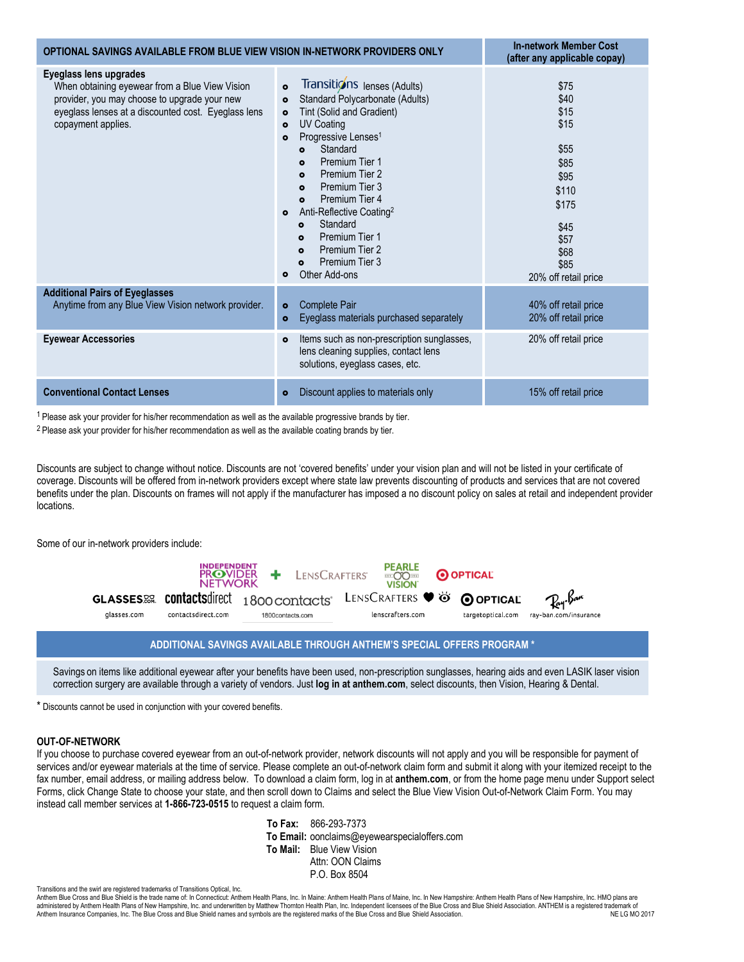| OPTIONAL SAVINGS AVAILABLE FROM BLUE VIEW VISION IN-NETWORK PROVIDERS ONLY                                                                                                                            |                                                                                                                                                                                                                                                                                                                                                                                                                                                                                                                                                                            | <b>In-network Member Cost</b><br>(after any applicable copay)                                                                  |
|-------------------------------------------------------------------------------------------------------------------------------------------------------------------------------------------------------|----------------------------------------------------------------------------------------------------------------------------------------------------------------------------------------------------------------------------------------------------------------------------------------------------------------------------------------------------------------------------------------------------------------------------------------------------------------------------------------------------------------------------------------------------------------------------|--------------------------------------------------------------------------------------------------------------------------------|
| Eyeglass lens upgrades<br>When obtaining eyewear from a Blue View Vision<br>provider, you may choose to upgrade your new<br>eyeglass lenses at a discounted cost. Eyeglass lens<br>copayment applies. | Transitions lenses (Adults)<br>$\bullet$<br>Standard Polycarbonate (Adults)<br>$\bullet$<br>Tint (Solid and Gradient)<br>$\bullet$<br><b>UV Coating</b><br>$\bullet$<br>Progressive Lenses <sup>1</sup><br>$\bullet$<br>Standard<br>$\bullet$<br>Premium Tier 1<br>$\bullet$<br>Premium Tier 2<br>$\bullet$<br>Premium Tier 3<br>$\bullet$<br>Premium Tier 4<br>$\bullet$<br>Anti-Reflective Coating <sup>2</sup><br>$\bullet$<br>Standard<br>$\bullet$<br>Premium Tier 1<br>$\bullet$<br>Premium Tier 2<br>$\bullet$<br>Premium Tier 3<br>$\bullet$<br>Other Add-ons<br>۰ | \$75<br>\$40<br>\$15<br>\$15<br>\$55<br>\$85<br>\$95<br>\$110<br>\$175<br>\$45<br>\$57<br>\$68<br>\$85<br>20% off retail price |
| <b>Additional Pairs of Eyeglasses</b><br>Anytime from any Blue View Vision network provider.                                                                                                          | Complete Pair<br>$\bullet$<br>Eyeglass materials purchased separately<br>$\bullet$                                                                                                                                                                                                                                                                                                                                                                                                                                                                                         | 40% off retail price<br>20% off retail price                                                                                   |
| <b>Eyewear Accessories</b>                                                                                                                                                                            | Items such as non-prescription sunglasses,<br>$\bullet$<br>lens cleaning supplies, contact lens<br>solutions, eyeglass cases, etc.                                                                                                                                                                                                                                                                                                                                                                                                                                         | 20% off retail price                                                                                                           |
| <b>Conventional Contact Lenses</b>                                                                                                                                                                    | Discount applies to materials only<br>$\bullet$                                                                                                                                                                                                                                                                                                                                                                                                                                                                                                                            | 15% off retail price                                                                                                           |

 $1$  Please ask your provider for his/her recommendation as well as the available progressive brands by tier.

<sup>2</sup> Please ask your provider for his/her recommendation as well as the available coating brands by tier.

Discounts are subject to change without notice. Discounts are not 'covered benefits' under your vision plan and will not be listed in your certificate of coverage. Discounts will be offered from in-network providers except where state law prevents discounting of products and services that are not covered benefits under the plan. Discounts on frames will not apply if the manufacturer has imposed a no discount policy on sales at retail and independent provider locations.

Some of our in-network providers include:



## **ADDITIONAL SAVINGS AVAILABLE THROUGH ANTHEM'S SPECIAL OFFERS PROGRAM \***

Savings on items like additional eyewear after your benefits have been used, non-prescription sunglasses, hearing aids and even LASIK laser vision correction surgery are available through a variety of vendors. Just **log in at anthem.com**, select discounts, then Vision, Hearing & Dental.

\* Discounts cannot be used in conjunction with your covered benefits.

## **OUT-OF-NETWORK**

If you choose to purchase covered eyewear from an out-of-network provider, network discounts will not apply and you will be responsible for payment of services and/or eyewear materials at the time of service. Please complete an out-of-network claim form and submit it along with your itemized receipt to the fax number, email address, or mailing address below. To download a claim form, log in at **anthem.com**, or from the home page menu under Support select Forms, click Change State to choose your state, and then scroll down to Claims and select the Blue View Vision Out-of-Network Claim Form. You may instead call member services at **1-866-723-0515** to request a claim form.

> **To Fax:** 866-293-7373 **To Email:** oonclaims@eyewearspecialoffers.com **To Mail:** Blue View Vision Attn: OON Claims P.O. Box 8504

Anthem Blue Cross and Blue Shield is the trade name of: In Connecticut: Anthem Health Plans, Inc. In Maine: Anthem Health Plans of Maine, Inc. In New Hampshire: Anthem Health Plans of New Hampshire, Inc. HMO plans are administered by Anthem Health Plans of New Hampshire, Inc. and underwritten by Matthew Thornton Health Plan, Inc. Independent licensees of the Blue Cross and Blue Shield Association. ANTHEM is a registered trademark of<br>Ant Anthem Insurance Companies, Inc. The Blue Cross and Blue Shield names and symbols are the registered marks of the Blue Cross and Blue Shield Association.

Transitions and the swirl are registered trademarks of Transitions Optical, Inc.